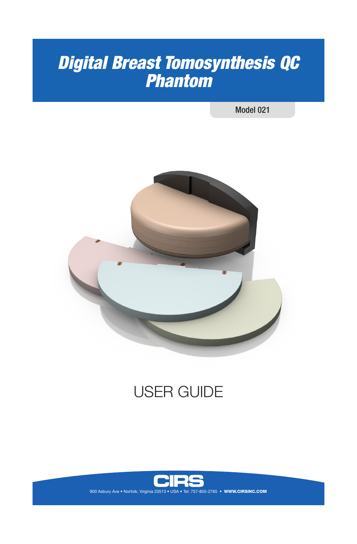# *Digital Breast Tomosynthesis QC Phantom*

Model 021



# USER GUIDE



900 Asbury Ave • Norfolk, Virginia 23513 • USA • Tel: 757-855-2765 • WWW.CIRSINC.COM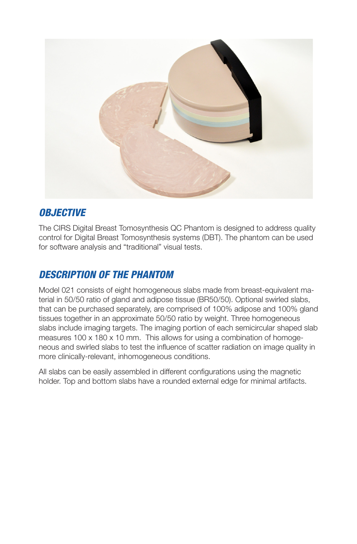

### *OBJECTIVE*

The CIRS Digital Breast Tomosynthesis QC Phantom is designed to address quality control for Digital Breast Tomosynthesis systems (DBT). The phantom can be used for software analysis and "traditional" visual tests.

# *DESCRIPTION OF THE PHANTOM*

Model 021 consists of eight homogeneous slabs made from breast-equivalent material in 50/50 ratio of gland and adipose tissue (BR50/50). Optional swirled slabs, that can be purchased separately, are comprised of 100% adipose and 100% gland tissues together in an approximate 50/50 ratio by weight. Three homogeneous slabs include imaging targets. The imaging portion of each semicircular shaped slab measures 100 x 180 x 10 mm. This allows for using a combination of homogeneous and swirled slabs to test the influence of scatter radiation on image quality in more clinically-relevant, inhomogeneous conditions.

All slabs can be easily assembled in different configurations using the magnetic holder. Top and bottom slabs have a rounded external edge for minimal artifacts.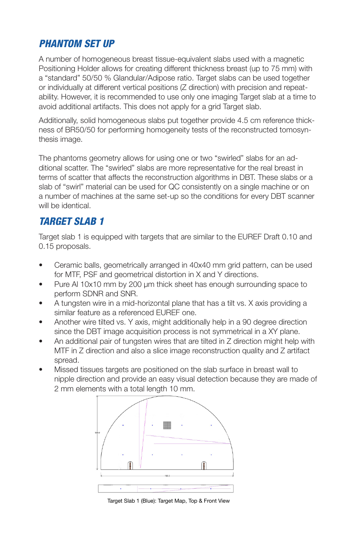## *PHANTOM SET UP*

A number of homogeneous breast tissue-equivalent slabs used with a magnetic Positioning Holder allows for creating different thickness breast (up to 75 mm) with a "standard" 50/50 % Glandular/Adipose ratio. Target slabs can be used together or individually at different vertical positions (Z direction) with precision and repeatability. However, it is recommended to use only one imaging Target slab at a time to avoid additional artifacts. This does not apply for a grid Target slab.

Additionally, solid homogeneous slabs put together provide 4.5 cm reference thickness of BR50/50 for performing homogeneity tests of the reconstructed tomosynthesis image.

The phantoms geometry allows for using one or two "swirled" slabs for an additional scatter. The "swirled" slabs are more representative for the real breast in terms of scatter that affects the reconstruction algorithms in DBT. These slabs or a slab of "swirl" material can be used for QC consistently on a single machine or on a number of machines at the same set-up so the conditions for every DBT scanner will be identical.

### *TARGET SLAB 1*

Target slab 1 is equipped with targets that are similar to the EUREF Draft 0.10 and 0.15 proposals.

- Ceramic balls, geometrically arranged in 40x40 mm grid pattern, can be used for MTF, PSF and geometrical distortion in X and Y directions.
- Pure Al 10x10 mm by 200 µm thick sheet has enough surrounding space to perform SDNR and SNR.
- A tungsten wire in a mid-horizontal plane that has a tilt vs. X axis providing a similar feature as a referenced EUREF one.
- Another wire tilted vs. Y axis, might additionally help in a 90 degree direction since the DBT image acquisition process is not symmetrical in a XY plane.
- An additional pair of tungsten wires that are tilted in Z direction might help with MTF in Z direction and also a slice image reconstruction quality and Z artifact spread.
- Missed tissues targets are positioned on the slab surface in breast wall to nipple direction and provide an easy visual detection because they are made of 2 mm elements with a total length 10 mm.



Target Slab 1 (Blue): Target Map, Top & Front View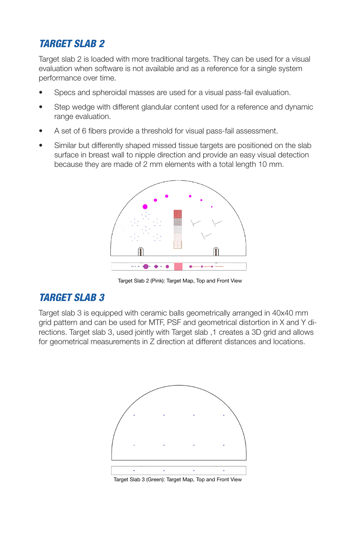# *TARGET SLAB 2*

Target slab 2 is loaded with more traditional targets. They can be used for a visual evaluation when software is not available and as a reference for a single system performance over time.

- Specs and spheroidal masses are used for a visual pass-fail evaluation.
- Step wedge with different glandular content used for a reference and dynamic range evaluation.
- A set of 6 fibers provide a threshold for visual pass-fail assessment.
- Similar but differently shaped missed tissue targets are positioned on the slab surface in breast wall to nipple direction and provide an easy visual detection because they are made of 2 mm elements with a total length 10 mm.



Target Slab 2 (Pink): Target Map, Top and Front View

## *TARGET SLAB 3*

Target slab 3 is equipped with ceramic balls geometrically arranged in 40x40 mm grid pattern and can be used for MTF, PSF and geometrical distortion in X and Y directions. Target slab 3, used jointly with Target slab ,1 creates a 3D grid and allows for geometrical measurements in Z direction at different distances and locations.



Target Slab 3 (Green): Target Map, Top and Front View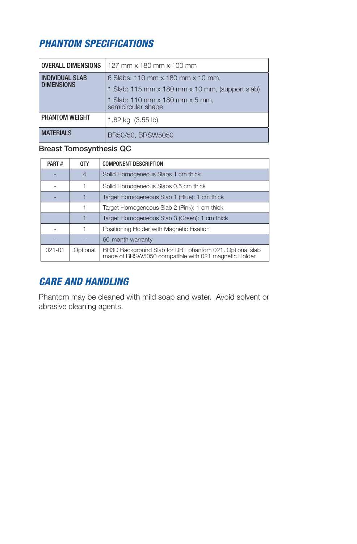# *PHANTOM SPECIFICATIONS*

| <b>OVERALL DIMENSIONS</b>                   | 127 mm x 180 mm x 100 mm                              |
|---------------------------------------------|-------------------------------------------------------|
| <b>INDIVIDUAL SLAB</b><br><b>DIMENSIONS</b> | 6 Slabs: 110 mm x 180 mm x 10 mm,                     |
|                                             | 1 Slab: 115 mm x 180 mm x 10 mm, (support slab)       |
|                                             | 1 Slab: 110 mm x 180 mm x 5 mm,<br>semicircular shape |
| PHANTOM WEIGHT                              | 1.62 kg (3.55 lb)                                     |
| <b>MATFRIALS</b>                            | BR50/50, BRSW5050                                     |

#### Breast Tomosynthesis QC

| PART#      | 0TY            | <b>COMPONENT DESCRIPTION</b>                                                                                    |  |
|------------|----------------|-----------------------------------------------------------------------------------------------------------------|--|
|            | $\overline{4}$ | Solid Homogeneous Slabs 1 cm thick                                                                              |  |
|            |                | Solid Homogeneous Slabs 0.5 cm thick                                                                            |  |
|            |                | Target Homogeneous Slab 1 (Blue): 1 cm thick                                                                    |  |
|            |                | Target Homogeneous Slab 2 (Pink): 1 cm thick                                                                    |  |
|            |                | Target Homogeneous Slab 3 (Green): 1 cm thick                                                                   |  |
|            |                | Positioning Holder with Magnetic Fixation                                                                       |  |
|            |                | 60-month warranty                                                                                               |  |
| $021 - 01$ | Optional       | BR3D Background Slab for DBT phantom 021. Optional slab<br>made of BRSW5050 compatible with 021 magnetic Holder |  |

## *CARE AND HANDLING*

Phantom may be cleaned with mild soap and water. Avoid solvent or abrasive cleaning agents.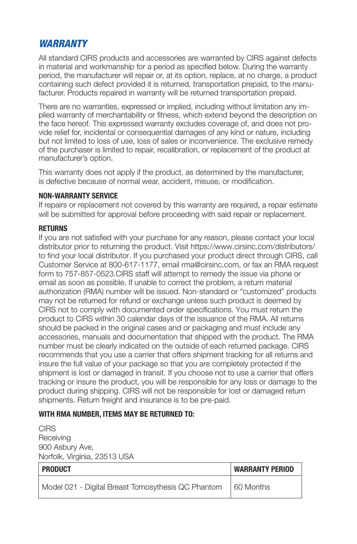#### *WARRANTY*

All standard CIRS products and accessories are warranted by CIRS against defects in material and workmanship for a period as specified below. During the warranty period, the manufacturer will repair or, at its option, replace, at no charge, a product containing such defect provided it is returned, transportation prepaid, to the manufacturer. Products repaired in warranty will be returned transportation prepaid.

There are no warranties, expressed or implied, including without limitation any implied warranty of merchantability or fitness, which extend beyond the description on the face hereof. This expressed warranty excludes coverage of, and does not provide relief for, incidental or consequential damages of any kind or nature, including but not limited to loss of use, loss of sales or inconvenience. The exclusive remedy of the purchaser is limited to repair, recalibration, or replacement of the product at manufacturer's option.

This warranty does not apply if the product, as determined by the manufacturer, is defective because of normal wear, accident, misuse, or modification.

#### **NON-WARRANTY SERVICE**

If repairs or replacement not covered by this warranty are required, a repair estimate will be submitted for approval before proceeding with said repair or replacement.

#### **RETURNS**

If you are not satisfied with your purchase for any reason, please contact your local distributor prior to returning the product. Visit https://www.cirsinc.com/distributors/ to find your local distributor. If you purchased your product direct through CIRS, call Customer Service at 800-617-1177, email rma@cirsinc.com, or fax an RMA request form to 757-857-0523.CIRS staff will attempt to remedy the issue via phone or email as soon as possible. If unable to correct the problem, a return material authorization (RMA) number will be issued. Non-standard or "customized" products may not be returned for refund or exchange unless such product is deemed by CIRS not to comply with documented order specifications. You must return the product to CIRS within 30 calendar days of the issuance of the RMA. All returns should be packed in the original cases and or packaging and must include any accessories, manuals and documentation that shipped with the product. The RMA number must be clearly indicated on the outside of each returned package. CIRS recommends that you use a carrier that offers shipment tracking for all returns and insure the full value of your package so that you are completely protected if the shipment is lost or damaged in transit. If you choose not to use a carrier that offers tracking or insure the product, you will be responsible for any loss or damage to the product during shipping. CIRS will not be responsible for lost or damaged return shipments. Return freight and insurance is to be pre-paid.

#### **WITH RMA NUMBER, ITEMS MAY BE RETURNED TO:**

CIRS Receiving 900 Asbury Ave, Norfolk, Virginia, 23513 USA

| <b>PRODUCT</b>                                     | <b>WARRANTY PERIOD</b> |
|----------------------------------------------------|------------------------|
| Model 021 - Digital Breast Tomosythesis QC Phantom | 160 Months             |